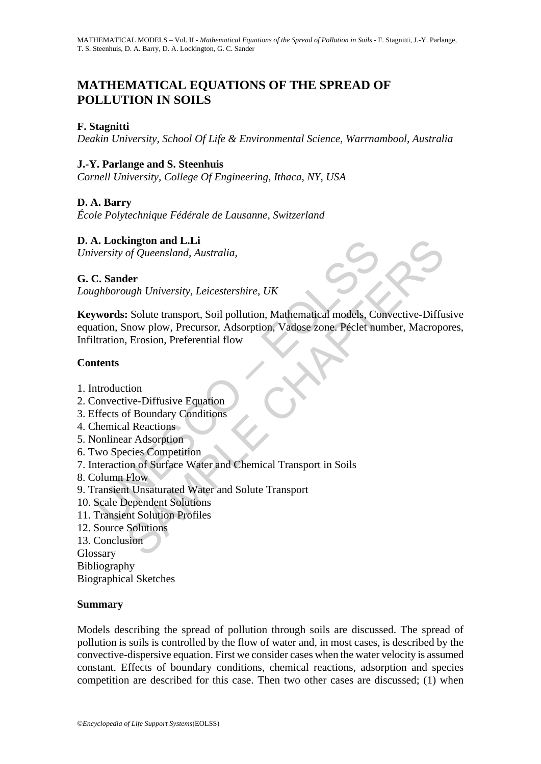# **MATHEMATICAL EQUATIONS OF THE SPREAD OF POLLUTION IN SOILS**

#### **F. Stagnitti**

*Deakin University, School Of Life & Environmental Science, Warrnambool, Australia* 

### **J.-Y. Parlange and S. Steenhuis**

*Cornell University, College Of Engineering, Ithaca, NY, USA* 

### **D. A. Barry**

*École Polytechnique Fédérale de Lausanne, Switzerland* 

#### **D. A. Lockington and L.Li**

*University of Queensland, Australia,* 

#### **G. C. Sander**

*Loughborough University, Leicestershire, UK* 

**Solution and L.Li**<br>
Solution and L.Li<br>
Sersity of Queensland, Australia,<br>
2. **Sander**<br> *Rehborough University, Leicestershire, UK*<br> **words:** Solute transport, Soil pollution, Mathematical models, Co<br>
atation, Snow plow, P Example of Queensland, Australia,<br>
of Queensland, Australia,<br>
eler<br>
ugh University, Leicestershire, UK<br>
Solute transport, Soil pollution, Mathematical models, Convective-Diffu<br>
now plow, Precursor, Adsorption, Vadose zone, **Keywords:** Solute transport, Soil pollution, Mathematical models, Convective-Diffusive equation, Snow plow, Precursor, Adsorption, Vadose zone. Péclet number, Macropores, Infiltration, Erosion, Preferential flow

#### **Contents**

- 1. Introduction
- 2. Convective-Diffusive Equation
- 3. Effects of Boundary Conditions
- 4. Chemical Reactions
- 5. Nonlinear Adsorption
- 6. Two Species Competition
- 7. Interaction of Surface Water and Chemical Transport in Soils
- 8. Column Flow
- 9. Transient Unsaturated Water and Solute Transport
- 10. Scale Dependent Solutions
- 11. Transient Solution Profiles
- 12. Source Solutions

13. Conclusion Glossary

Bibliography

Biographical Sketches

#### **Summary**

Models describing the spread of pollution through soils are discussed. The spread of pollution is soils is controlled by the flow of water and, in most cases, is described by the convective-dispersive equation. First we consider cases when the water velocity is assumed constant. Effects of boundary conditions, chemical reactions, adsorption and species competition are described for this case. Then two other cases are discussed; (1) when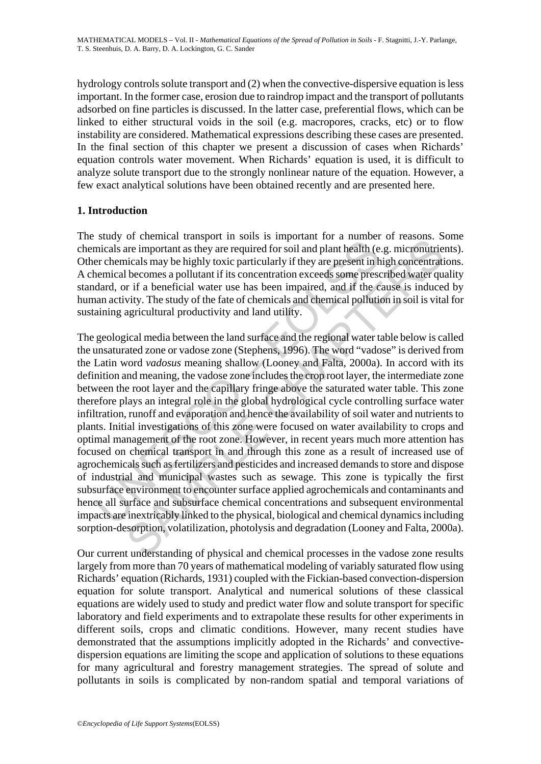hydrology controls solute transport and (2) when the convective-dispersive equation is less important. In the former case, erosion due to raindrop impact and the transport of pollutants adsorbed on fine particles is discussed. In the latter case, preferential flows, which can be linked to either structural voids in the soil (e.g. macropores, cracks, etc) or to flow instability are considered. Mathematical expressions describing these cases are presented. In the final section of this chapter we present a discussion of cases when Richards' equation controls water movement. When Richards' equation is used, it is difficult to analyze solute transport due to the strongly nonlinear nature of the equation. However, a few exact analytical solutions have been obtained recently and are presented here.

#### **1. Introduction**

The study of chemical transport in soils is important for a number of reasons. Some chemicals are important as they are required for soil and plant health (e.g. micronutrients). Other chemicals may be highly toxic particularly if they are present in high concentrations. A chemical becomes a pollutant if its concentration exceeds some prescribed water quality standard, or if a beneficial water use has been impaired, and if the cause is induced by human activity. The study of the fate of chemicals and chemical pollution in soil is vital for sustaining agricultural productivity and land utility.

stay of energial management analysis in some is important for a name or<br>inicals are important as they are required for soil and plant health (e<br>er chemicals may be highly toxic particularly if they are present in<br>bennical or cumman utanport in sons is important or a arimore or reasons. S<br>are important as they are required for soil and plant health (e.g. micronutries<br>icals may be highly toxic particularly if they are present in high concentr The geological media between the land surface and the regional water table below is called the unsaturated zone or vadose zone (Stephens, 1996). The word "vadose" is derived from the Latin word *vadosus* meaning shallow (Looney and Falta, 2000a). In accord with its definition and meaning, the vadose zone includes the crop root layer, the intermediate zone between the root layer and the capillary fringe above the saturated water table. This zone therefore plays an integral role in the global hydrological cycle controlling surface water infiltration, runoff and evaporation and hence the availability of soil water and nutrients to plants. Initial investigations of this zone were focused on water availability to crops and optimal management of the root zone. However, in recent years much more attention has focused on chemical transport in and through this zone as a result of increased use of agrochemicals such as fertilizers and pesticides and increased demands to store and dispose of industrial and municipal wastes such as sewage. This zone is typically the first subsurface environment to encounter surface applied agrochemicals and contaminants and hence all surface and subsurface chemical concentrations and subsequent environmental impacts are inextricably linked to the physical, biological and chemical dynamics including sorption-desorption, volatilization, photolysis and degradation (Looney and Falta, 2000a).

Our current understanding of physical and chemical processes in the vadose zone results largely from more than 70 years of mathematical modeling of variably saturated flow using Richards' equation (Richards, 1931) coupled with the Fickian-based convection-dispersion equation for solute transport. Analytical and numerical solutions of these classical equations are widely used to study and predict water flow and solute transport for specific laboratory and field experiments and to extrapolate these results for other experiments in different soils, crops and climatic conditions. However, many recent studies have demonstrated that the assumptions implicitly adopted in the Richards' and convectivedispersion equations are limiting the scope and application of solutions to these equations for many agricultural and forestry management strategies. The spread of solute and pollutants in soils is complicated by non-random spatial and temporal variations of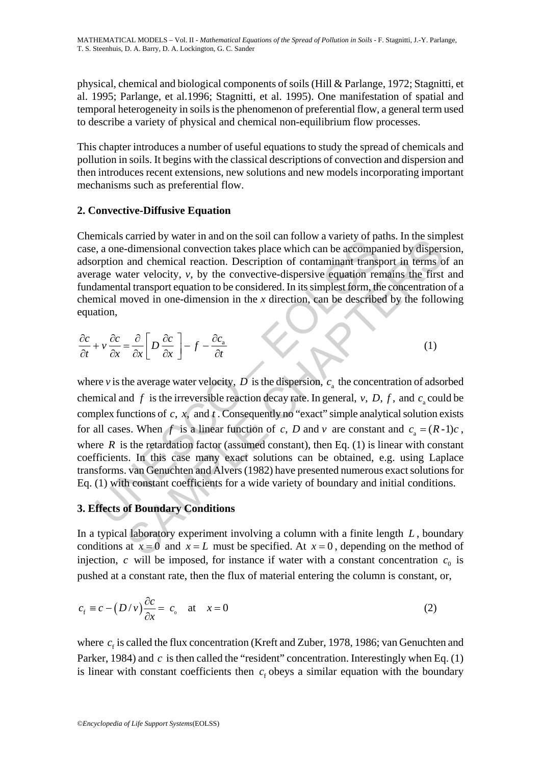physical, chemical and biological components of soils (Hill & Parlange, 1972; Stagnitti, et al. 1995; Parlange, et al.1996; Stagnitti, et al. 1995). One manifestation of spatial and temporal heterogeneity in soils is the phenomenon of preferential flow, a general term used to describe a variety of physical and chemical non-equilibrium flow processes.

This chapter introduces a number of useful equations to study the spread of chemicals and pollution in soils. It begins with the classical descriptions of convection and dispersion and then introduces recent extensions, new solutions and new models incorporating important mechanisms such as preferential flow.

### **2. Convective-Diffusive Equation**

Chemicals carried by water in and on the soil can follow a variety of paths. In the simplest case, a one-dimensional convection takes place which can be accompanied by dispersion, adsorption and chemical reaction. Description of contaminant transport in terms of an average water velocity, *v*, by the convective-dispersive equation remains the first and fundamental transport equation to be considered. In its simplest form, the concentration of a chemical moved in one-dimension in the *x* direction, can be described by the following equation,

$$
\frac{\partial c}{\partial t} + v \frac{\partial c}{\partial x} = \frac{\partial}{\partial x} \left[ D \frac{\partial c}{\partial x} \right] - f - \frac{\partial c_a}{\partial t}
$$
 (1)

meass current and only and on a fast of an interview of values,<br>  $\alpha$ , a one-dimensional convection takes place which can be accompacted<br>
stription and chemical reaction. Description of contaminant transf<br>
rage water velo dimensional convection takes place which can be accompanied by dispersed<br>the dimensional convection takes place which can be accompanied by dispersed at chemical reaction. Description of contaminant transport in terms of<br> where *v* is the average water velocity,  $D$  is the dispersion,  $c<sub>a</sub>$  the concentration of adsorbed chemical and  $f$  is the irreversible reaction decay rate. In general,  $v$ ,  $D$ ,  $f$ , and  $c_c$  could be complex functions of  $c, x$ , and  $t$ . Consequently no "exact" simple analytical solution exists for all cases. When *f* is a linear function of *c*, *D* and *v* are constant and  $c<sub>a</sub> = (R-1)c$ , where  $R$  is the retardation factor (assumed constant), then Eq. (1) is linear with constant coefficients. In this case many exact solutions can be obtained, e.g. using Laplace transforms. van Genuchten and Alvers (1982) have presented numerous exact solutions for Eq. (1) with constant coefficients for a wide variety of boundary and initial conditions.

### **3. Effects of Boundary Conditions**

In a typical laboratory experiment involving a column with a finite length *L* , boundary conditions at  $x = 0$  and  $x = L$  must be specified. At  $x = 0$ , depending on the method of injection,  $c$  will be imposed, for instance if water with a constant concentration  $c_0$  is pushed at a constant rate, then the flux of material entering the column is constant, or,

$$
c_{\rm f} \equiv c - \left(D/v\right) \frac{\partial c}{\partial x} = c_{\rm o} \quad \text{at} \quad x = 0 \tag{2}
$$

where  $c_f$  is called the flux concentration (Kreft and Zuber, 1978, 1986; van Genuchten and Parker, 1984) and *c* is then called the "resident" concentration. Interestingly when Eq. (1) is linear with constant coefficients then  $c_f$  obeys a similar equation with the boundary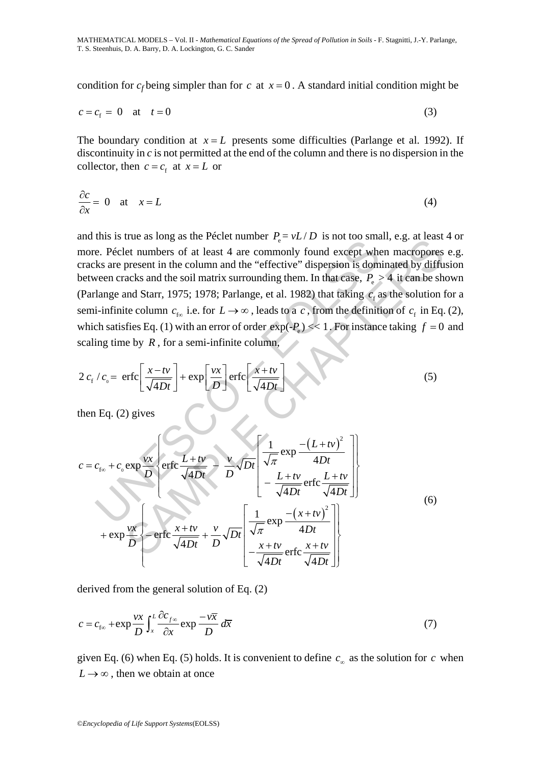condition for  $c_f$  being simpler than for  $c$  at  $x = 0$ . A standard initial condition might be

$$
c = cf = 0 \quad \text{at} \quad t = 0 \tag{3}
$$

The boundary condition at  $x = L$  presents some difficulties (Parlange et al. 1992). If discontinuity in *c* is not permitted at the end of the column and there is no dispersion in the collector, then  $c = c_f$  at  $x = L$  or

$$
\frac{\partial c}{\partial x} = 0 \quad \text{at} \quad x = L \tag{4}
$$

the. B state as both and experimentation of  $\frac{1}{\sqrt{4Dt}}$  is the controlly found except which sate present in the column and the "effective" dispersion is dominated to the experiment of at least 4 are commonly found excep and this is true as long as the Péclet number  $P_e = vL/D$  is not too small, e.g. at least 4 or more. Péclet numbers of at least 4 are commonly found except when macropores e.g. cracks are present in the column and the "effective" dispersion is dominated by diffusion between cracks and the soil matrix surrounding them. In that case,  $P_e > 4$  it can be shown (Parlange and Starr, 1975; 1978; Parlange, et al. 1982) that taking  $c_f$  as the solution for a semi-infinite column  $c_{f\infty}$  i.e. for  $L \to \infty$ , leads to a *c*, from the definition of  $c_f$  in Eq. (2), which satisfies Eq. (1) with an error of order  $\exp(-P) \ll 1$ . For instance taking  $f = 0$  and scaling time by  $R$ , for a semi-infinite column,

$$
2 c_{\rm f} / c_{\rm o} = \text{erfc}\left[\frac{x - tv}{\sqrt{4Dt}}\right] + \exp\left[\frac{vx}{D}\right] \text{erfc}\left[\frac{x + tv}{\sqrt{4Dt}}\right] \tag{5}
$$

then Eq. (2) gives

and this is true as long as the recent number 
$$
T_e = \nu L/D
$$
 is not too shian, e.g. at least  
more. Péclet numbers of at least 4 are commonly found except when macroposes  
eracks are present in the column and the "effective" dispersion is dominated by diffu  
between cracks and the soil matrix surrounding them. In that case,  $P_e > 4$  it can be sh  
(Parlange and Starr, 1975; 1978; Parlange, et al. 1982) that taking  $c_t$  as the solution is  
semi-infinite column  $c_{tce}$  i.e. for  $L \rightarrow \infty$ , leads to a c, from the definition of  $c_t$  in Eq.  
which satisfies Eq. (1) with an error of order  $\exp(-P_e) \ll 1$ . For instance taking  $f = 0$   
scaling time by R, for a semi-infinite column,  

$$
2 c_t / c_o = \text{erfc}\left[\frac{x - tv}{\sqrt{4Dt}}\right] + \exp\left[\frac{vx}{D}\right] \text{erfc}\left[\frac{x + tv}{\sqrt{4Dt}}\right]
$$
(5)  
then Eq. (2) gives  

$$
c = c_{f_{to}} + c_o \exp\frac{vx}{D} \left\{\text{erfc}\frac{L + tv}{\sqrt{4Dt}} - \frac{v}{D}\sqrt{Dt}\left[\frac{1}{\sqrt{\pi}}\exp\frac{-(L + tv)^2}{4Dt}\right]\right\}
$$

$$
+ \exp\frac{vx}{D} \left\{\text{erfc}\frac{x + tv}{\sqrt{4Dt}} + \frac{v}{D}\sqrt{Dt}\left[\frac{1}{\sqrt{\pi}}\exp\frac{-(x + tv)^2}{4Dt}\right]\right\}
$$
(6)  

$$
+ \exp\frac{vx}{D} \left\{\text{erfc}\frac{x + tv}{\sqrt{4Dt}} + \frac{v}{D}\sqrt{Dt}\left[\frac{1}{\sqrt{\pi}}\exp\frac{-(x + tv)^2}{4Dt}\right]\right\}
$$

derived from the general solution of Eq. (2)

$$
c = c_{f\infty} + \exp{\frac{\nu x}{D}} \int_{x}^{L} \frac{\partial c_{f\infty}}{\partial x} \exp{\frac{-\nu \overline{x}}{D}} d\overline{x}
$$
 (7)

given Eq. (6) when Eq. (5) holds. It is convenient to define  $c_{\infty}$  as the solution for *c* when  $L \rightarrow \infty$ , then we obtain at once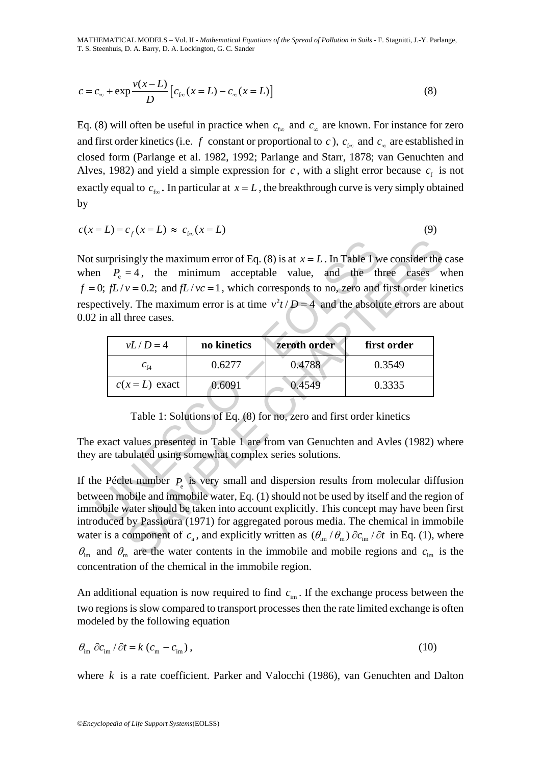MATHEMATICAL MODELS – Vol. II *- Mathematical Equations of the Spread of Pollution in Soils -* F. Stagnitti, J.-Y. Parlange, T. S. Steenhuis, D. A. Barry, D. A. Lockington, G. C. Sander

$$
c = c_{\infty} + \exp \frac{v(x - L)}{D} \left[ c_{f\infty}(x = L) - c_{\infty}(x = L) \right]
$$
 (8)

Eq. (8) will often be useful in practice when  $c_{\infty}$  and  $c_{\infty}$  are known. For instance for zero and first order kinetics (i.e. *f* constant or proportional to *c*),  $c_{f\omega}$  and  $c_{\omega}$  are established in closed form (Parlange et al. 1982, 1992; Parlange and Starr, 1878; van Genuchten and Alves, 1982) and yield a simple expression for  $c$ , with a slight error because  $c_f$  is not exactly equal to  $c_{\rm fo}$ . In particular at  $x = L$ , the breakthrough curve is very simply obtained by

$$
c(x=L) = c_f(x=L) \approx c_{f\infty}(x=L) \tag{9}
$$

surprisingly the maximum error of Eq. (8) is at  $x = L$ . In Table 1 w<br>
in  $P_e = 4$ , the minimum acceptable value, and the th<br>
0;  $fL/v = 0.2$ ; and  $fL/vc = 1$ , which corresponds to no, zero and<br>
ectively. The maximum error is at Not surprisingly the maximum error of Eq. (8) is at  $x = L$ . In Table 1 we consider the case when  $P_e = 4$ , the minimum acceptable value, and the three cases when  $f = 0$ ;  $fL/v = 0.2$ ; and  $fL/vc = 1$ , which corresponds to no, zero and first order kinetics respectively. The maximum error is at time  $v^2t/D = 4$  and the absolute errors are about 0.02 in all three cases.

| $vL/D=4$                            | no kinetics | zeroth order | first order |  |
|-------------------------------------|-------------|--------------|-------------|--|
| $c_{\scriptscriptstyle{\text{f4}}}$ | 0.6277      | 0.4788       | 0.3549      |  |
| $c(x=L)$ exact                      | 0.6091      | 0.4549       | 0.3335      |  |

Table 1: Solutions of Eq. (8) for no, zero and first order kinetics

The exact values presented in Table 1 are from van Genuchten and Avles (1982) where they are tabulated using somewhat complex series solutions.

ingly the maximum error of Eq. (8) is at  $x = L$ . In Table 1 we consider the<br>  $v = 0.2$ ; and  $fL/vc = 1$ , which corresponds to no, zero and first order kine<br>  $v = 0.2$ ; and  $fL/vc = 1$ , which corresponds to no, zero and first ord If the Péclet number  $P$  is very small and dispersion results from molecular diffusion between mobile and immobile water, Eq. (1) should not be used by itself and the region of immobile water should be taken into account explicitly. This concept may have been first introduced by Passioura (1971) for aggregated porous media. The chemical in immobile water is a component of  $c_a$ , and explicitly written as  $(\theta_{\rm im}/\theta_{\rm m}) \partial c_{\rm im}/\partial t$  in Eq. (1), where  $\theta_{\rm im}$  and  $\theta_{\rm m}$  are the water contents in the immobile and mobile regions and  $c_{\rm im}$  is the concentration of the chemical in the immobile region.

An additional equation is now required to find  $c_{\text{im}}$ . If the exchange process between the two regions is slow compared to transport processes then the rate limited exchange is often modeled by the following equation

$$
\theta_{\rm im} \, \partial c_{\rm im} / \partial t = k \left( c_{\rm m} - c_{\rm im} \right),\tag{10}
$$

where *k* is a rate coefficient. Parker and Valocchi (1986), van Genuchten and Dalton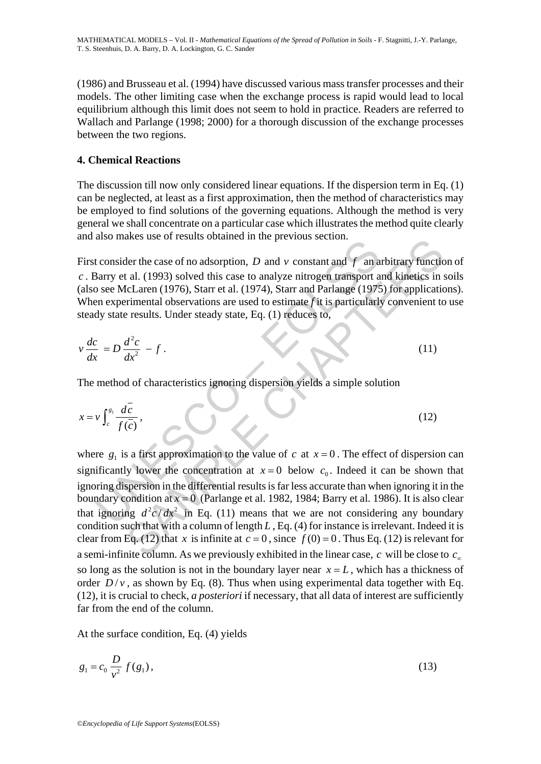(1986) and Brusseau et al. (1994) have discussed various mass transfer processes and their models. The other limiting case when the exchange process is rapid would lead to local equilibrium although this limit does not seem to hold in practice. Readers are referred to Wallach and Parlange (1998; 2000) for a thorough discussion of the exchange processes between the two regions.

### **4. Chemical Reactions**

The discussion till now only considered linear equations. If the dispersion term in Eq. (1) can be neglected, at least as a first approximation, then the method of characteristics may be employed to find solutions of the governing equations. Although the method is very general we shall concentrate on a particular case which illustrates the method quite clearly and also makes use of results obtained in the previous section.

First consider the case of no adsorption, *D* and *v* constant and *f* an arbitrary function of *c* . Barry et al. (1993) solved this case to analyze nitrogen transport and kinetics in soils (also see McLaren (1976), Starr et al. (1974), Starr and Parlange (1975) for applications). When experimental observations are used to estimate *f* it is particularly convenient to use steady state results. Under steady state, Eq. (1) reduces to,

$$
v\frac{dc}{dx} = D\frac{d^2c}{dx^2} - f.
$$
 (11)

The method of characteristics ignoring dispersion yields a simple solution

$$
x = v \int_c^{s_1} \frac{d\bar{c}}{f(\bar{c})},
$$
 (12)

also makes use of restars obtained in an previous section.<br>
t consider the case of no adsorption, D and v constant and f an a<br>
Barry et al. (1993) solved this case to analyze nitrogen transport a<br>
be seen McLaren (1976), ares use of results obtained in the previous section.<br>
Let the case of no adsorption, D and v constant and f an arbitrary functic<br>
(al. (1993) solved this case to analyze nitrogen transport and kinetics in since<br>
Electrar where  $g_1$  is a first approximation to the value of *c* at  $x = 0$ . The effect of dispersion can significantly lower the concentration at  $x = 0$  below  $c_0$ . Indeed it can be shown that ignoring dispersion in the differential results is far less accurate than when ignoring it in the boundary condition at  $x = 0$  (Parlange et al. 1982, 1984; Barry et al. 1986). It is also clear that ignoring  $d^2c/dx^2$  in Eq. (11) means that we are not considering any boundary condition such that with a column of length *L* , Eq. (4) for instance is irrelevant. Indeed it is clear from Eq. (12) that *x* is infinite at  $c = 0$ , since  $f(0) = 0$ . Thus Eq. (12) is relevant for a semi-infinite column. As we previously exhibited in the linear case, *c* will be close to *c*<sup>∞</sup> so long as the solution is not in the boundary layer near  $x = L$ , which has a thickness of order  $D/v$ , as shown by Eq. (8). Thus when using experimental data together with Eq. (12), it is crucial to check, *a posteriori* if necessary, that all data of interest are sufficiently far from the end of the column.

At the surface condition, Eq. (4) yields

$$
g_1 = c_0 \frac{D}{v^2} f(g_1),
$$
\n(13)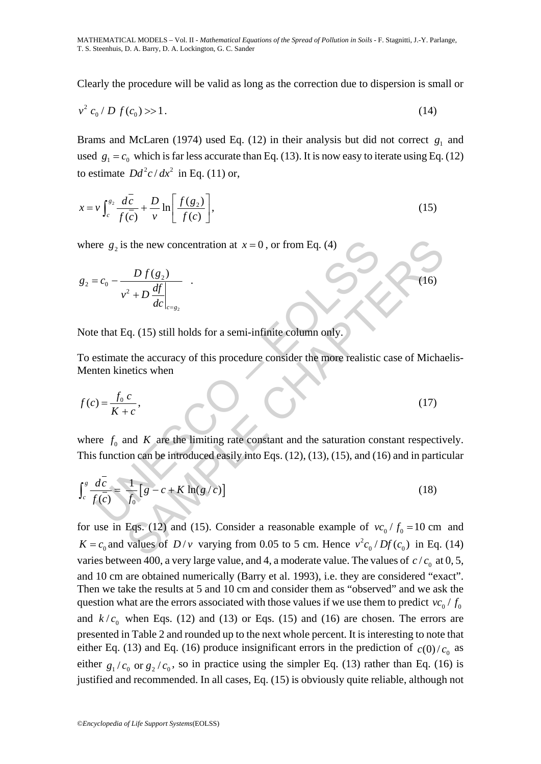Clearly the procedure will be valid as long as the correction due to dispersion is small or

$$
v^2 c_0 / D f(c_0) >> 1. \tag{14}
$$

Brams and McLaren (1974) used Eq. (12) in their analysis but did not correct  $g_1$  and used  $g_1 = c_0$  which is far less accurate than Eq. (13). It is now easy to iterate using Eq. (12) to estimate  $Dd^2c/dx^2$  in Eq. (11) or,

$$
x = v \int_{c}^{g_2} \frac{d\bar{c}}{f(\bar{c})} + \frac{D}{v} \ln \left[ \frac{f(g_2)}{f(c)} \right],
$$
\n(15)

where  $g_2$  is the new concentration at  $x = 0$ , or from Eq. (4)

$$
g_2 = c_0 - \frac{D f(g_2)}{v^2 + D \frac{df}{dc} \Big|_{c = g_2}}
$$

Note that Eq. (15) still holds for a semi-infinite column only.

To estimate the accuracy of this procedure consider the more realistic case of Michaelis-Menten kinetics when

.  $(16)$ 

$$
f(c) = \frac{f_0 c}{K + c},\tag{17}
$$

where  $f_0$  and  $K$  are the limiting rate constant and the saturation constant respectively. This function can be introduced easily into Eqs. (12), (13), (15), and (16) and in particular

where 
$$
g_2
$$
 is the new concentration at  $x = 0$ , or from Eq. (4)  
\n
$$
g_2 = c_0 - \frac{D f(g_2)}{v^2 + D \frac{df}{dc}|_{c=g_2}}
$$
\nNote that Eq. (15) still holds for a semi-infinite column only.  
\nTo estimate the accuracy of this procedure consider the more realistic case of Mich  
\nMenten kinetics when  
\n
$$
f(c) = \frac{f_0 c}{K + c},
$$
\n(17)  
\nwhere  $f_0$  and K are the limiting rate constant and the saturation constant respect  
\nThis function can be introduced easily into Eqs. (12), (13), (15), and (16) and in part  
\n
$$
\int_c^s \frac{d\bar{c}}{f(\bar{c})} = \frac{1}{f_0} [g - c + K \ln(g/c)]
$$
\n(18)

s the new concentration at  $x = 0$ , or from Eq. (4)<br>  $\frac{D f(g_2)}{dx}$ <br>  $\frac{d}{dx}$ <br>  $\frac{d}{dx}$ <br>  $\frac{d}{dx}$  (15) still holds for a semi-infinite column only.<br>
e the accuracy of this procedure consider the more realistic case of M for use in Eqs. (12) and (15). Consider a reasonable example of  $vc_0 / f_0 = 10$  cm and  $K = c_0$  and values of  $D/v$  varying from 0.05 to 5 cm. Hence  $v^2 c_0 / Df(c_0)$  in Eq. (14) varies between 400, a very large value, and 4, a moderate value. The values of  $c/c<sub>o</sub>$  at 0, 5, and 10 cm are obtained numerically (Barry et al. 1993), i.e. they are considered "exact". Then we take the results at 5 and 10 cm and consider them as "observed" and we ask the question what are the errors associated with those values if we use them to predict  $vc_0 / f_0$ and  $k/c_0$  when Eqs. (12) and (13) or Eqs. (15) and (16) are chosen. The errors are presented in Table 2 and rounded up to the next whole percent. It is interesting to note that either Eq. (13) and Eq. (16) produce insignificant errors in the prediction of  $c(0)/c_0$  as either  $g_1/c_0$  or  $g_2/c_0$ , so in practice using the simpler Eq. (13) rather than Eq. (16) is justified and recommended. In all cases, Eq. (15) is obviously quite reliable, although not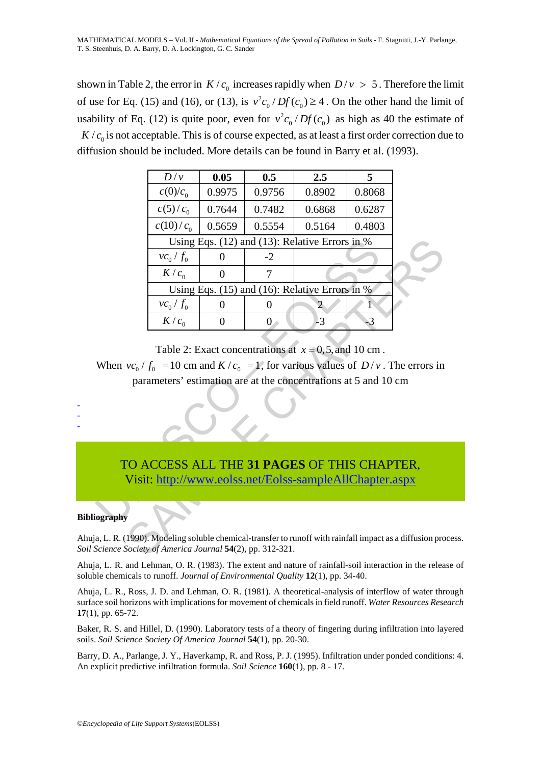shown in Table 2, the error in  $K / c_0$  increases rapidly when  $D / v > 5$ . Therefore the limit of use for Eq. (15) and (16), or (13), is  $v^2 c_0/Df(c_0) \ge 4$ . On the other hand the limit of usability of Eq. (12) is quite poor, even for  $v^2 c_0 / Df(c_0)$  as high as 40 the estimate of  $K/c<sub>0</sub>$  is not acceptable. This is of course expected, as at least a first order correction due to diffusion should be included. More details can be found in Barry et al. (1993).

|                                                                                                                                                                                                                        | D/v                                            | 0.05             | 0.5              | 2.5                                                                                                   | 5      |  |  |
|------------------------------------------------------------------------------------------------------------------------------------------------------------------------------------------------------------------------|------------------------------------------------|------------------|------------------|-------------------------------------------------------------------------------------------------------|--------|--|--|
|                                                                                                                                                                                                                        | $c(0)/c_0$                                     | 0.9975           | 0.9756           | 0.8902                                                                                                | 0.8068 |  |  |
|                                                                                                                                                                                                                        | $c(5)/c_0$                                     | 0.7644           | 0.7482           | 0.6868                                                                                                | 0.6287 |  |  |
|                                                                                                                                                                                                                        | $c(10)/c_0$                                    | 0.5659           | 0.5554           | 0.5164                                                                                                | 0.4803 |  |  |
|                                                                                                                                                                                                                        | Using Eqs. (12) and (13): Relative Errors in % |                  |                  |                                                                                                       |        |  |  |
|                                                                                                                                                                                                                        | $vc_0/f_0$                                     | 0                | $-2$             |                                                                                                       |        |  |  |
|                                                                                                                                                                                                                        | K/c <sub>0</sub>                               | $\overline{0}$   | 7                |                                                                                                       |        |  |  |
| Using Eqs. $(15)$ and $(16)$ : Relative Errors in %                                                                                                                                                                    |                                                |                  |                  |                                                                                                       |        |  |  |
|                                                                                                                                                                                                                        | $vc_0/f_0$                                     | $\boldsymbol{0}$ | $\boldsymbol{0}$ | 2                                                                                                     | 1      |  |  |
|                                                                                                                                                                                                                        | $K/c_0$                                        | $\boldsymbol{0}$ | $\overline{0}$   | $-3$                                                                                                  | $-3$   |  |  |
| Table 2: Exact concentrations at $x = 0, 5$ , and 10 cm.<br>When $vc_0 / f_0 = 10$ cm and $K/c_0 = 1$ , for various values of $D/v$ . The errors in<br>parameters' estimation are at the concentrations at 5 and 10 cm |                                                |                  |                  |                                                                                                       |        |  |  |
| TO ACCESS ALL THE 31 PAGES OF THIS CHAPTER,<br>Visit: http://www.eolss.net/Eolss-sampleAllChapter.aspx                                                                                                                 |                                                |                  |                  |                                                                                                       |        |  |  |
| iography                                                                                                                                                                                                               |                                                |                  |                  |                                                                                                       |        |  |  |
| Science Society of America Journal 54(2), pp. 312-321.                                                                                                                                                                 |                                                |                  |                  | a, L. R. (1990). Modeling soluble chemical-transfer to runoff with rainfall impact as a diffusion pro |        |  |  |

## TO ACCESS ALL THE **31 PAGES** OF THIS CHAPTER, Visit: http://www.eolss.net/Eolss-sampleAllChapter.aspx

#### **Bibliography**

- - -

Ahuja, L. R. (1990). Modeling soluble chemical-transfer to runoff with rainfall impact as a diffusion process. *Soil Science Society of America Journal* **54**(2), pp. 312-321.

Ahuja, L. R. and Lehman, O. R. (1983). The extent and nature of rainfall-soil interaction in the release of soluble chemicals to runoff. *Journal of Environmental Quality* **12**(1), pp. 34-40.

Ahuja, L. R., Ross, J. D. and Lehman, O. R. (1981). A theoretical-analysis of interflow of water through surface soil horizons with implications for movement of chemicals in field runoff. *Water Resources Research* **17**(1), pp. 65-72.

Baker, R. S. and Hillel, D. (1990). Laboratory tests of a theory of fingering during infiltration into layered soils. *Soil Science Society Of America Journal* **54**(1), pp. 20-30.

Barry, D. A., Parlange, J. Y., Haverkamp, R. and Ross, P. J. (1995). Infiltration under ponded conditions: 4. An explicit predictive infiltration formula. *Soil Science* **160**(1), pp. 8 - 17.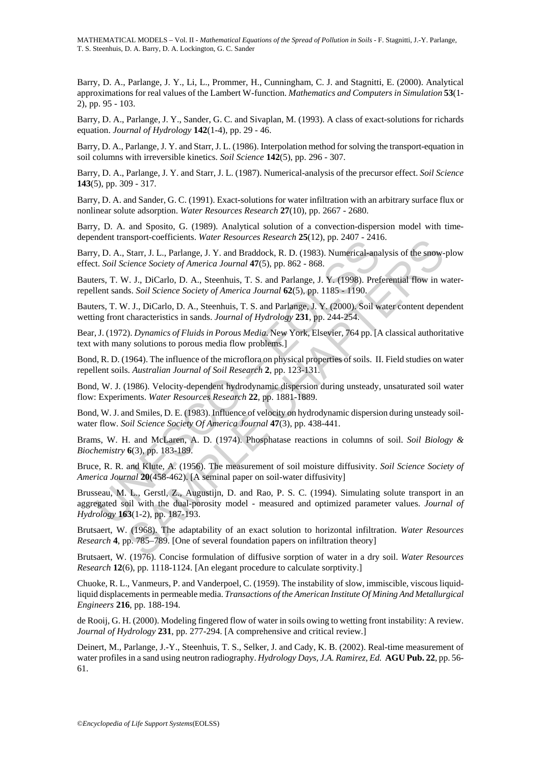MATHEMATICAL MODELS – Vol. II *- Mathematical Equations of the Spread of Pollution in Soils -* F. Stagnitti, J.-Y. Parlange, T. S. Steenhuis, D. A. Barry, D. A. Lockington, G. C. Sander

Barry, D. A., Parlange, J. Y., Li, L., Prommer, H., Cunningham, C. J. and Stagnitti, E. (2000). Analytical approximations for real values of the Lambert W-function. *Mathematics and Computers in Simulation* **53**(1- 2), pp. 95 - 103.

Barry, D. A., Parlange, J. Y., Sander, G. C. and Sivaplan, M. (1993). A class of exact-solutions for richards equation. *Journal of Hydrology* **142**(1-4), pp. 29 - 46.

Barry, D. A., Parlange, J. Y. and Starr, J. L. (1986). Interpolation method for solving the transport-equation in soil columns with irreversible kinetics. *Soil Science* **142**(5), pp. 296 - 307.

Barry, D. A., Parlange, J. Y. and Starr, J. L. (1987). Numerical-analysis of the precursor effect. *Soil Science* **143**(5), pp. 309 - 317.

Barry, D. A. and Sander, G. C. (1991). Exact-solutions for water infiltration with an arbitrary surface flux or nonlinear solute adsorption. *Water Resources Research* **27**(10), pp. 2667 - 2680.

Barry, D. A. and Sposito, G. (1989). Analytical solution of a convection-dispersion model with timedependent transport-coefficients. *Water Resources Research* **25**(12), pp. 2407 - 2416.

Barry, D. A., Starr, J. L., Parlange, J. Y. and Braddock, R. D. (1983). Numerical-analysis of the snow-plow effect. *Soil Science Society of America Journal* **47**(5), pp. 862 - 868.

Bauters, T. W. J., DiCarlo, D. A., Steenhuis, T. S. and Parlange, J. Y. (1998). Preferential flow in waterrepellent sands. *Soil Science Society of America Journal* **62**(5), pp. 1185 - 1190.

Bauters, T. W. J., DiCarlo, D. A., Steenhuis, T. S. and Parlange, J. Y. (2000). Soil water content dependent wetting front characteristics in sands. *Journal of Hydrology* **231**, pp. 244-254.

Bear, J. (1972). *Dynamics of Fluids in Porous Media*. New York, Elsevier, 764 pp. [A classical authoritative text with many solutions to porous media flow problems.]

Bond, R. D. (1964). The influence of the microflora on physical properties of soils. II. Field studies on water repellent soils. *Australian Journal of Soil Research* **2**, pp. 123-131.

Bond, W. J. (1986). Velocity-dependent hydrodynamic dispersion during unsteady, unsaturated soil water flow: Experiments. *Water Resources Research* **22**, pp. 1881-1889.

Bond, W. J. and Smiles, D. E. (1983). Influence of velocity on hydrodynamic dispersion during unsteady soilwater flow. *Soil Science Society Of America Journal* **47**(3), pp. 438-441.

Brams, W. H. and McLaren, A. D. (1974). Phosphatase reactions in columns of soil. *Soil Biology & Biochemistry* **6**(3), pp. 183-189.

Bruce, R. R. and Klute, A. (1956). The measurement of soil moisture diffusivity. *Soil Science Society of America Journal* **20**(458-462). [A seminal paper on soil-water diffusivity]

no. Start, J. L., Parlange, J. Y. and Braddock, R. 0. 1933). Numerical-ana<br>
1.5. A., Start, J. L., Parlange, J. Y. and Braddock, R. D. (1983). Numerical-ana<br>
1.5.0il Science Society of America Journal 47(5), pp. 862 - 868. Inspiries entreatments. Water resources Research 25(12), pp. 2407 - 2410.<br>
Start, J. L., Parlange, J. Y. and Braddock, R. D. (1983). Numerical-analysis of the snow-<br>
Start, J. L., Parlange, J. Y. and Braddock, R. D. (1998 Brusseau, M. L., Gerstl, Z., Augustijn, D. and Rao, P. S. C. (1994). Simulating solute transport in an aggregated soil with the dual-porosity model - measured and optimized parameter values. *Journal of Hydrology* **163**(1-2), pp. 187-193.

Brutsaert, W. (1968). The adaptability of an exact solution to horizontal infiltration. *Water Resources Research* **4**, pp. 785–789. [One of several foundation papers on infiltration theory]

Brutsaert, W. (1976). Concise formulation of diffusive sorption of water in a dry soil. *Water Resources Research* **12**(6), pp. 1118-1124. [An elegant procedure to calculate sorptivity.]

Chuoke, R. L., Vanmeurs, P. and Vanderpoel, C. (1959). The instability of slow, immiscible, viscous liquidliquid displacements in permeable media. *Transactions of the American Institute Of Mining And Metallurgical Engineers* **216**, pp. 188-194.

de Rooij, G. H. (2000). Modeling fingered flow of water in soils owing to wetting front instability: A review. *Journal of Hydrology* **231**, pp. 277-294. [A comprehensive and critical review.]

Deinert, M., Parlange, J.-Y., Steenhuis, T. S., Selker, J. and Cady, K. B. (2002). Real-time measurement of water profiles in a sand using neutron radiography. *Hydrology Days, J.A. Ramirez, Ed.* **AGU Pub. 22**, pp. 56- 61.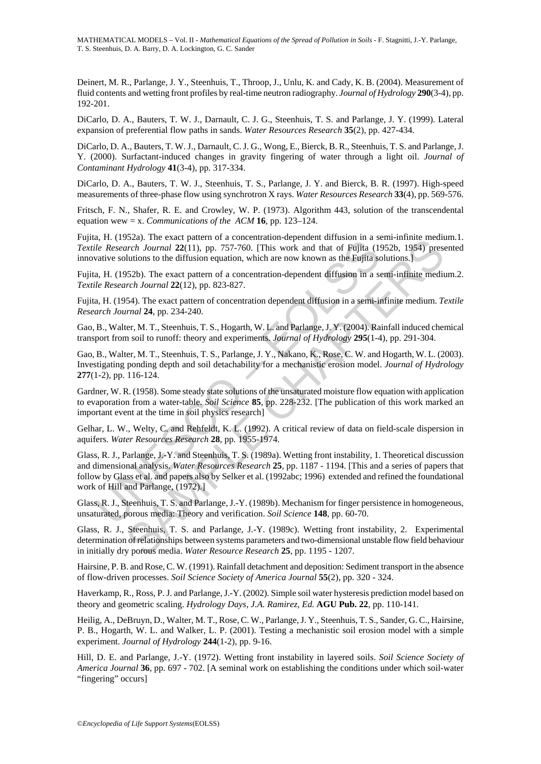Deinert, M. R., Parlange, J. Y., Steenhuis, T., Throop, J., Unlu, K. and Cady, K. B. (2004). Measurement of fluid contents and wetting front profiles by real-time neutron radiography. *Journal of Hydrology* **290**(3-4), pp. 192-201.

DiCarlo, D. A., Bauters, T. W. J., Darnault, C. J. G., Steenhuis, T. S. and Parlange, J. Y. (1999). Lateral expansion of preferential flow paths in sands. *Water Resources Research* **35**(2), pp. 427-434.

DiCarlo, D. A., Bauters, T. W. J., Darnault, C. J. G., Wong, E., Bierck, B. R., Steenhuis, T. S. and Parlange, J. Y. (2000). Surfactant-induced changes in gravity fingering of water through a light oil. *Journal of Contaminant Hydrology* **41**(3-4), pp. 317-334.

DiCarlo, D. A., Bauters, T. W. J., Steenhuis, T. S., Parlange, J. Y. and Bierck, B. R. (1997). High-speed measurements of three-phase flow using synchrotron X rays. *Water Resources Research* **33**(4), pp. 569-576.

Fritsch, F. N., Shafer, R. E. and Crowley, W. P. (1973). Algorithm 443, solution of the transcendental equation wew = x. *Communications of the ACM* **16**, pp. 123–124.

Fujita, H. (1952a). The exact pattern of a concentration-dependent diffusion in a semi-infinite medium.1. *Textile Research Journal* **22**(11), pp. 757-760. [This work and that of Fujita (1952b, 1954) presented innovative solutions to the diffusion equation, which are now known as the Fujita solutions.]

Fujita, H. (1952b). The exact pattern of a concentration-dependent diffusion in a semi-infinite medium.2. *Textile Research Journal* **22**(12), pp. 823-827.

Fujita, H. (1954). The exact pattern of concentration dependent diffusion in a semi-infinite medium. *Textile Research Journal* **24**, pp. 234-240.

Gao, B., Walter, M. T., Steenhuis, T. S., Hogarth, W. L. and Parlange, J. Y. (2004). Rainfall induced chemical transport from soil to runoff: theory and experiments. *Journal of Hydrology* **295**(1-4), pp. 291-304.

Gao, B., Walter, M. T., Steenhuis, T. S., Parlange, J. Y., Nakano, K., Rose, C. W. and Hogarth, W. L. (2003). Investigating ponding depth and soil detachability for a mechanistic erosion model. *Journal of Hydrology* **277**(1-2), pp. 116-124.

Gardner, W. R. (1958). Some steady state solutions of the unsaturated moisture flow equation with application to evaporation from a water-table. *Soil Science* **85**, pp. 228-232. [The publication of this work marked an important event at the time in soil physics research]

Gelhar, L. W., Welty, C. and Rehfeldt, K. L. (1992). A critical review of data on field-scale dispersion in aquifers. *Water Resources Research* **28**, pp. 1955-1974.

i, 11. (1952b). The Caster particle 10 a Telecommon a was entered in a set all all particle Research Journal 22(11), pp. 757-760. [This work and that of Fujita (19<br>and He Research Journal 22(11), pp. 757-760. [This work a S2.2.1. It exact patter on a concentration-rependent unitsion in a semi-mimme ineution<br>arch Journal 22(11), pp. 757-760. [This work and that of Fujjfta (1952b, 1954) preselutions to the diffusion equation, which are now k Glass, R. J., Parlange, J.-Y. and Steenhuis, T. S. (1989a). Wetting front instability, 1. Theoretical discussion and dimensional analysis. *Water Resources Research* **25**, pp. 1187 - 1194. [This and a series of papers that follow by Glass et al. and papers also by Selker et al. (1992abc; 1996) extended and refined the foundational work of Hill and Parlange, (1972).]

Glass, R. J., Steenhuis, T. S. and Parlange, J.-Y. (1989b). Mechanism for finger persistence in homogeneous, unsaturated, porous media: Theory and verification. *Soil Science* **148**, pp. 60-70.

Glass, R. J., Steenhuis, T. S. and Parlange, J.-Y. (1989c). Wetting front instability, 2. Experimental determination of relationships between systems parameters and two-dimensional unstable flow field behaviour in initially dry porous media. *Water Resource Research* **25**, pp. 1195 - 1207.

Hairsine, P. B. and Rose, C. W. (1991). Rainfall detachment and deposition: Sediment transport in the absence of flow-driven processes. *Soil Science Society of America Journal* **55**(2), pp. 320 - 324.

Haverkamp, R., Ross, P. J. and Parlange, J.-Y. (2002). Simple soil water hysteresis prediction model based on theory and geometric scaling. *Hydrology Days, J.A. Ramirez, Ed.* **AGU Pub. 22**, pp. 110-141.

Heilig, A., DeBruyn, D., Walter, M. T., Rose, C. W., Parlange, J. Y., Steenhuis, T. S., Sander, G. C., Hairsine, P. B., Hogarth, W. L. and Walker, L. P. (2001). Testing a mechanistic soil erosion model with a simple experiment. *Journal of Hydrology* **244**(1-2), pp. 9-16.

Hill, D. E. and Parlange, J.-Y. (1972). Wetting front instability in layered soils. *Soil Science Society of America Journal* **36**, pp. 697 - 702. [A seminal work on establishing the conditions under which soil-water "fingering" occurs]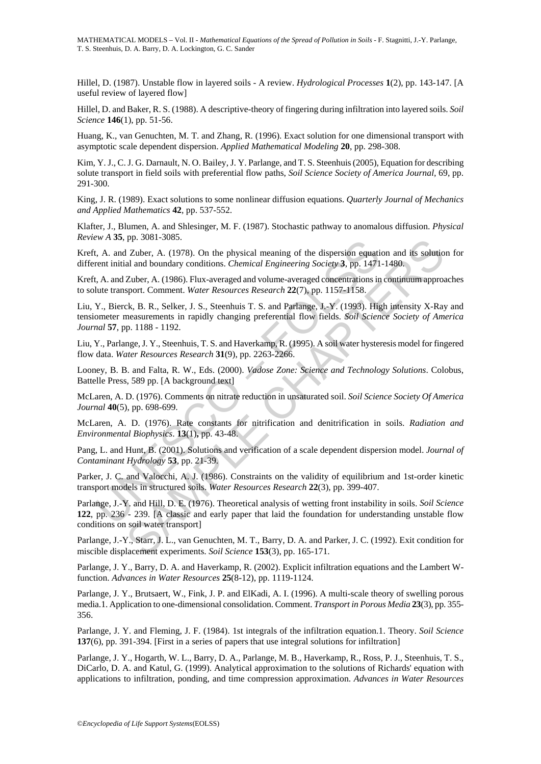Hillel, D. (1987). Unstable flow in layered soils - A review. *Hydrological Processes* **1**(2), pp. 143-147. [A useful review of layered flow]

Hillel, D. and Baker, R. S. (1988). A descriptive-theory of fingering during infiltration into layered soils. *Soil Science* **146**(1), pp. 51-56.

Huang, K., van Genuchten, M. T. and Zhang, R. (1996). Exact solution for one dimensional transport with asymptotic scale dependent dispersion. *Applied Mathematical Modeling* **20**, pp. 298-308.

Kim, Y. J., C. J. G. Darnault, N. O. Bailey, J. Y. Parlange, and T. S. Steenhuis (2005), Equation for describing solute transport in field soils with preferential flow paths, *Soil Science Society of America Journal,* 69, pp. 291-300.

King, J. R. (1989). Exact solutions to some nonlinear diffusion equations. *Quarterly Journal of Mechanics and Applied Mathematics* **42**, pp. 537-552.

Klafter, J., Blumen, A. and Shlesinger, M. F. (1987). Stochastic pathway to anomalous diffusion. *Physical Review A* **35**, pp. 3081-3085.

Kreft, A. and Zuber, A. (1978). On the physical meaning of the dispersion equation and its solution for different initial and boundary conditions. *Chemical Engineering Society* **3**, pp. 1471-1480.

Kreft, A. and Zuber, A. (1986). Flux-averaged and volume-averaged concentrations in continuum approaches to solute transport. Comment. *Water Resources Research* **22**(7), pp. 1157-1158.

A. a. and Zuber, A. (1978). On the physical meaning of the dispersion equational end and Zuber, A. (1978). On the physical meaning of the dispersion equation then the dispersion equation and and Doundary conditions. *Chemi* Liu, Y., Bierck, B. R., Selker, J. S., Steenhuis T. S. and Parlange, J.-Y. (1993). High intensity X-Ray and tensiometer measurements in rapidly changing preferential flow fields. *Soil Science Society of America Journal* **57**, pp. 1188 - 1192.

Liu, Y., Parlange, J. Y., Steenhuis, T. S. and Haverkamp, R. (1995). A soil water hysteresis model for fingered flow data. *Water Resources Research* **31**(9), pp. 2263-2266.

Looney, B. B. and Falta, R. W., Eds. (2000). *Vadose Zone: Science and Technology Solutions*. Colobus, Battelle Press, 589 pp. [A background text]

McLaren, A. D. (1976). Comments on nitrate reduction in unsaturated soil. *Soil Science Society Of America Journal* **40**(5), pp. 698-699.

McLaren, A. D. (1976). Rate constants for nitrification and denitrification in soils. *Radiation and Environmental Biophysics*. **13**(1)**,** pp. 43-48.

Pang, L. and Hunt, B. (2001). Solutions and verification of a scale dependent dispersion model. *Journal of Contaminant Hydrology* **53**, pp. 21-39.

Parker, J. C. and Valocchi, A. J. (1986). Constraints on the validity of equilibrium and 1st-order kinetic transport models in structured soils. *Water Resources Research* **22**(3), pp. 399-407.

pp. 3061-3063.<br>
Zaber, A. (1978). On the physical meaning of the dispersion equation and its solutio<br>
Zaber, A. (1986). Flux-averaged and volume-averaged concentrations in continuum approx<br>
Zaber, A. (1986). Flux-averaged Parlange, J.-Y. and Hill, D. E. (1976). Theoretical analysis of wetting front instability in soils. *Soil Science* **122**, pp. 236 - 239. [A classic and early paper that laid the foundation for understanding unstable flow conditions on soil water transport]

Parlange, J.-Y., Starr, J. L., van Genuchten, M. T., Barry, D. A. and Parker, J. C. (1992). Exit condition for miscible displacement experiments. *Soil Science* **153**(3), pp. 165-171.

Parlange, J. Y., Barry, D. A. and Haverkamp, R. (2002). Explicit infiltration equations and the Lambert Wfunction. *Advances in Water Resources* **25**(8-12), pp. 1119-1124.

Parlange, J. Y., Brutsaert, W., Fink, J. P. and ElKadi, A. I. (1996). A multi-scale theory of swelling porous media.1. Application to one-dimensional consolidation. Comment. *Transport in Porous Media* **23**(3), pp. 355- 356.

Parlange, J. Y. and Fleming, J. F. (1984). 1st integrals of the infiltration equation.1. Theory. *Soil Science* **137**(6), pp. 391-394. [First in a series of papers that use integral solutions for infiltration]

Parlange, J. Y., Hogarth, W. L., Barry, D. A., Parlange, M. B., Haverkamp, R., Ross, P. J., Steenhuis, T. S., DiCarlo, D. A. and Katul, G. (1999). Analytical approximation to the solutions of Richards' equation with applications to infiltration, ponding, and time compression approximation. *Advances in Water Resources*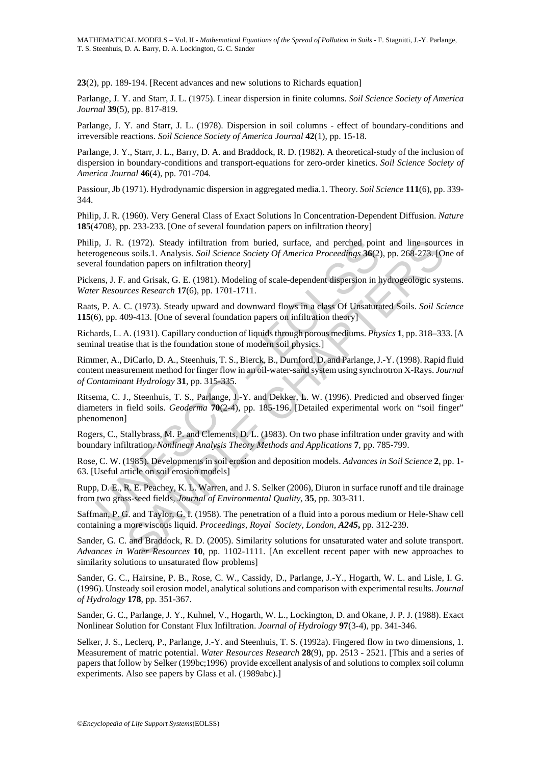**23**(2), pp. 189-194. [Recent advances and new solutions to Richards equation]

Parlange, J. Y. and Starr, J. L. (1975). Linear dispersion in finite columns. *Soil Science Society of America Journal* **39**(5), pp. 817-819.

Parlange, J. Y. and Starr, J. L. (1978). Dispersion in soil columns - effect of boundary-conditions and irreversible reactions. *Soil Science Society of America Journal* **42**(1), pp. 15-18.

Parlange, J. Y., Starr, J. L., Barry, D. A. and Braddock, R. D. (1982). A theoretical-study of the inclusion of dispersion in boundary-conditions and transport-equations for zero-order kinetics. *Soil Science Society of America Journal* **46**(4), pp. 701-704.

Passiour, Jb (1971). Hydrodynamic dispersion in aggregated media.1. Theory. *Soil Science* **111**(6), pp. 339- 344.

Philip, J. R. (1960). Very General Class of Exact Solutions In Concentration-Dependent Diffusion. *Nature* **185**(4708), pp. 233-233. [One of several foundation papers on infiltration theory]

Philip, J. R. (1972). Steady infiltration from buried, surface, and perched point and line sources in heterogeneous soils.1. Analysis. *Soil Science Society Of America Proceedings* **36**(2), pp. 268-273. [One of several foundation papers on infiltration theory]

Pickens, J. F. and Grisak, G. E. (1981). Modeling of scale-dependent dispersion in hydrogeologic systems. *Water Resources Research* **17**(6), pp. 1701-1711.

Raats, P. A. C. (1973). Steady upward and downward flows in a class Of Unsaturated Soils. *Soil Science* **115**(6), pp. 409-413. [One of several foundation papers on infiltration theory]

Richards, L. A. (1931). Capillary conduction of liquids through porous mediums. *Physics* **1**, pp. 318–333. [A seminal treatise that is the foundation stone of modern soil physics.]

p, J. R. (1972). Steady infiltration from buried, surface, and perched pointing and solis. L. Analysis. Soil Science Society Of America Proceedings 36(2) and Tal foundation papers on infiltration theory] Then are offered a (1972). Steady infiltration from buried, surface, and perched point and line sources<br>is solis!. Amalysis *Soli Science Society Of America Proceedings* **36**(2), pp. 268-273. [O<br>and Grisak, G. E. (1981). Modeling of scale-d Rimmer, A., DiCarlo, D. A., Steenhuis, T. S., Bierck, B., Durnford, D. and Parlange, J.-Y. (1998). Rapid fluid content measurement method for finger flow in an oil-water-sand system using synchrotron X-Rays. *Journal of Contaminant Hydrology* **31**, pp. 315-335.

Ritsema, C. J., Steenhuis, T. S., Parlange, J.-Y. and Dekker, L. W. (1996). Predicted and observed finger diameters in field soils. *Geoderma* **70**(2-4), pp. 185-196. [Detailed experimental work on "soil finger" phenomenon]

Rogers, C., Stallybrass, M. P. and Clements, D. L. (1983). On two phase infiltration under gravity and with boundary infiltration. *Nonlinear Analysis Theory Methods and Applications* **7**, pp. 785-799.

Rose, C. W. (1985). Developments in soil erosion and deposition models. *Advances in Soil Science* **2**, pp. 1- 63. [Useful article on soil erosion models]

Rupp, D. E., R. E. Peachey, K. L. Warren, and J. S. Selker (2006), Diuron in surface runoff and tile drainage from two grass-seed fields, *Journal of Environmental Quality,* **35**, pp. 303-311.

Saffman, P. G. and Taylor, G. I. (1958). The penetration of a fluid into a porous medium or Hele-Shaw cell containing a more viscous liquid. *Proceedings, Royal Society, London, A245***,** pp. 312-239.

Sander, G. C. and Braddock, R. D. (2005). Similarity solutions for unsaturated water and solute transport. *Advances in Water Resources* **10**, pp. 1102-1111. [An excellent recent paper with new approaches to similarity solutions to unsaturated flow problems]

Sander, G. C., Hairsine, P. B., Rose, C. W., Cassidy, D., Parlange, J.-Y., Hogarth, W. L. and Lisle, I. G. (1996). Unsteady soil erosion model, analytical solutions and comparison with experimental results. *Journal of Hydrology* **178**, pp. 351-367.

Sander, G. C., Parlange, J. Y., Kuhnel, V., Hogarth, W. L., Lockington, D. and Okane, J. P. J. (1988). Exact Nonlinear Solution for Constant Flux Infiltration. *Journal of Hydrology* **97**(3-4), pp. 341-346.

Selker, J. S., Leclerq, P., Parlange, J.-Y. and Steenhuis, T. S. (1992a). Fingered flow in two dimensions, 1. Measurement of matric potential. *Water Resources Research* **28**(9), pp. 2513 - 2521. [This and a series of papers that follow by Selker (199bc;1996) provide excellent analysis of and solutions to complex soil column experiments. Also see papers by Glass et al. (1989abc).]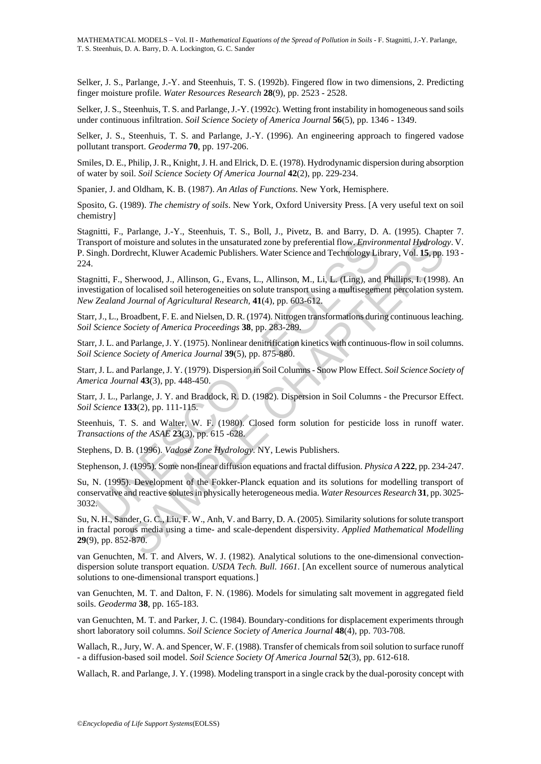Selker, J. S., Parlange, J.-Y. and Steenhuis, T. S. (1992b). Fingered flow in two dimensions, 2. Predicting finger moisture profile. *Water Resources Research* **28**(9), pp. 2523 - 2528.

Selker, J. S., Steenhuis, T. S. and Parlange, J.-Y. (1992c). Wetting front instability in homogeneous sand soils under continuous infiltration. *Soil Science Society of America Journal* **56**(5), pp. 1346 - 1349.

Selker, J. S., Steenhuis, T. S. and Parlange, J.-Y. (1996). An engineering approach to fingered vadose pollutant transport. *Geoderma* **70**, pp. 197-206.

Smiles, D. E., Philip, J. R., Knight, J. H. and Elrick, D. E. (1978). Hydrodynamic dispersion during absorption of water by soil. *Soil Science Society Of America Journal* **42**(2), pp. 229-234.

Spanier, J. and Oldham, K. B. (1987). *An Atlas of Functions*. New York, Hemisphere.

Sposito, G. (1989). *The chemistry of soils*. New York, Oxford University Press. [A very useful text on soil chemistry]

Stagnitti, F., Parlange, J.-Y., Steenhuis, T. S., Boll, J., Pivetz, B. and Barry, D. A. (1995). Chapter 7. Transport of moisture and solutes in the unsaturated zone by preferential flow. *Environmental Hydrology*. V. P. Singh. Dordrecht, Kluwer Academic Publishers. Water Science and Technology Library, Vol. **15**, pp. 193 - 224.

Stagnitti, F., Sherwood, J., Allinson, G., Evans, L., Allinson, M., Li, L. (Ling), and Phillips, I. (1998). An investigation of localised soil heterogeneities on solute transport using a multisegement percolation system. *New Zealand Journal of Agricultural Research,* **41**(4), pp. 603-612.

Starr, J., L., Broadbent, F. E. and Nielsen, D. R. (1974). Nitrogen transformations during continuous leaching. *Soil Science Society of America Proceedings* **38**, pp. 283-289.

Starr, J. L. and Parlange, J. Y. (1975). Nonlinear denitrification kinetics with continuous-flow in soil columns. *Soil Science Society of America Journal* **39**(5), pp. 875-880.

Starr, J. L. and Parlange, J. Y. (1979). Dispersion in Soil Columns - Snow Plow Effect. *Soil Science Society of America Journal* **43**(3), pp. 448-450.

Starr, J. L., Parlange, J. Y. and Braddock, R. D. (1982). Dispersion in Soil Columns - the Precursor Effect. *Soil Science* **133**(2), pp. 111-115.

Steenhuis, T. S. and Walter, W. F. (1980). Closed form solution for pesticide loss in runoff water. *Transactions of the ASAE* **23**(3), pp. 615 -628.

Stephens, D. B. (1996). *Vadose Zone Hydrology*. NY, Lewis Publishers.

Stephenson, J. (1995). Some non-linear diffusion equations and fractal diffusion. *Physica A* **222**, pp. 234-247.

sport of moisture and solutes in the unsaturated zone by preferential flow *Enviro*<br>righ. Dordrecht, Kluwer Academic Publishers. Water Science and Technology Lil<br>nitti, F., Sherwood, J., Allinson, G., Evans, L., Allinson, moisture and solutes in the unsaturated zone by preferential flow. *Emironmental Hydrolog*<br>drecht, Kluwer Academic Publishers. Water Science and Technology Library, Vol. 15, pp.<br>Sherwood, J., Allinson, G., Evans, L., Allin Su, N. (1995). Development of the Fokker-Planck equation and its solutions for modelling transport of conservative and reactive solutes in physically heterogeneous media. *Water Resources Research* **31**, pp. 3025- 3032.

Su, N. H., Sander, G. C., Liu, F. W., Anh, V. and Barry, D. A. (2005). Similarity solutions for solute transport in fractal porous media using a time- and scale-dependent dispersivity. *Applied Mathematical Modelling* **29**(9), pp. 852-870.

van Genuchten, M. T. and Alvers, W. J. (1982). Analytical solutions to the one-dimensional convectiondispersion solute transport equation. *USDA Tech. Bull. 1661*. [An excellent source of numerous analytical solutions to one-dimensional transport equations.]

van Genuchten, M. T. and Dalton, F. N. (1986). Models for simulating salt movement in aggregated field soils. *Geoderma* **38**, pp. 165-183.

van Genuchten, M. T. and Parker, J. C. (1984). Boundary-conditions for displacement experiments through short laboratory soil columns. *Soil Science Society of America Journal* **48**(4), pp. 703-708.

Wallach, R., Jury, W. A. and Spencer, W. F. (1988). Transfer of chemicals from soil solution to surface runoff - a diffusion-based soil model. *Soil Science Society Of America Journal* **52**(3), pp. 612-618.

Wallach, R. and Parlange, J. Y. (1998). Modeling transport in a single crack by the dual-porosity concept with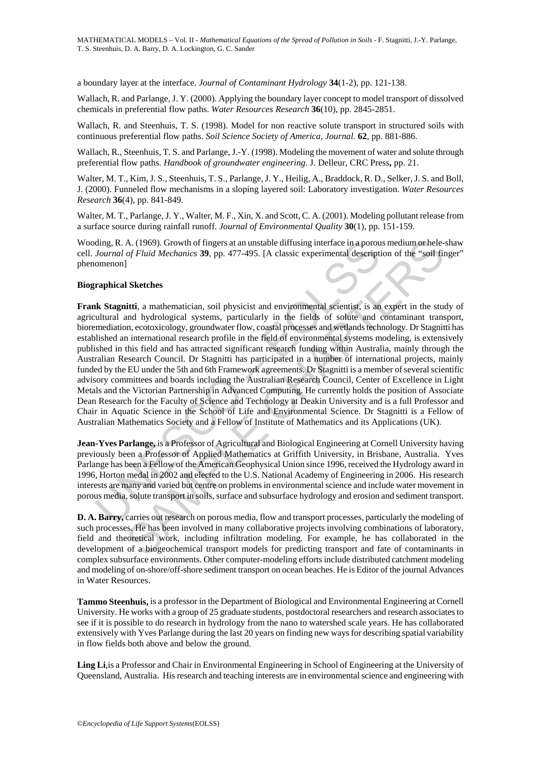a boundary layer at the interface. *Journal of Contaminant Hydrology* **34**(1-2), pp. 121-138.

Wallach, R. and Parlange, J. Y. (2000). Applying the boundary layer concept to model transport of dissolved chemicals in preferential flow paths. *Water Resources Research* **36**(10), pp. 2845-2851.

Wallach, R. and Steenhuis, T. S. (1998). Model for non reactive solute transport in structured soils with continuous preferential flow paths. *Soil Science Society of America, Journal.* **62**, pp. 881-886.

Wallach, R., Steenhuis, T. S. and Parlange, J.-Y. (1998). Modeling the movement of water and solute through preferential flow paths. *Handbook of groundwater engineering*. J. Delleur, CRC Press**,** pp. 21.

Walter, M. T., Kim, J. S., Steenhuis, T. S., Parlange, J. Y., Heilig, A., Braddock, R. D., Selker, J. S. and Boll, J. (2000). Funneled flow mechanisms in a sloping layered soil: Laboratory investigation. *Water Resources Research* **36**(4), pp. 841-849.

Walter, M. T., Parlange, J. Y., Walter, M. F., Xin, X. and Scott, C. A. (2001). Modeling pollutant release from a surface source during rainfall runoff. *Journal of Environmental Quality* **30**(1), pp. 151-159.

Wooding, R. A. (1969). Growth of fingers at an unstable diffusing interface in a porous medium or hele-shaw cell. *Journal of Fluid Mechanics* **39**, pp. 477-495. [A classic experimental description of the "soil finger" phenomenon]

#### **Biographical Sketches**

ding, R. A. (1969). Growth of fingers at an unstable diffusing interface in a porouroural of Fluid Mechanics 39, pp. 477-495. [A classic experimental description<br>menon]<br>Journal of Fluid Mechanics 39, pp. 477-495. [A classi A. (1969). Growth of fingers at an unstable diffusing interface in a porous medium or hele-<br>of *Fluid Mechanics* **39**, pp. 477-495. [A classic experimental description of the "soil find<br> $\frac{1}{2}$ <br>**SKetches**<br>**SEXELA SET IN Frank Stagnitti**, a mathematician, soil physicist and environmental scientist, is an expert in the study of agricultural and hydrological systems, particularly in the fields of solute and contaminant transport, bioremediation, ecotoxicology, groundwater flow, coastal processes and wetlands technology. Dr Stagnitti has established an international research profile in the field of environmental systems modeling, is extensively published in this field and has attracted significant research funding within Australia, mainly through the Australian Research Council. Dr Stagnitti has participated in a number of international projects, mainly funded by the EU under the 5th and 6th Framework agreements. Dr Stagnitti is a member of several scientific advisory committees and boards including the Australian Research Council, Center of Excellence in Light Metals and the Victorian Partnership in Advanced Computing. He currently holds the position of Associate Dean Research for the Faculty of Science and Technology at Deakin University and is a full Professor and Chair in Aquatic Science in the School of Life and Environmental Science. Dr Stagnitti is a Fellow of Australian Mathematics Society and a Fellow of Institute of Mathematics and its Applications (UK).

**Jean-Yves Parlange,** is a Professor of Agricultural and Biological Engineering at Cornell University having previously been a Professor of Applied Mathematics at Griffith University, in Brisbane, Australia. Yves Parlange has been a Fellow of the American Geophysical Union since 1996, received the Hydrology award in 1996, Horton medal in 2002 and elected to the U.S. National Academy of Engineering in 2006. His research interests are many and varied but centre on problems in environmental science and include water movement in porous media, solute transport in soils, surface and subsurface hydrology and erosion and sediment transport.

**D. A. Barry,** carries out research on porous media, flow and transport processes, particularly the modeling of such processes. He has been involved in many collaborative projects involving combinations of laboratory, field and theoretical work, including infiltration modeling. For example, he has collaborated in the development of a biogeochemical transport models for predicting transport and fate of contaminants in complex subsurface environments. Other computer-modeling efforts include distributed catchment modeling and modeling of on-shore/off-shore sediment transport on ocean beaches. He is Editor of the journal Advances in Water Resources.

**Tammo Steenhuis,** is a professor in the Department of Biological and Environmental Engineering at Cornell University. He works with a group of 25 graduate students, postdoctoral researchers and research associates to see if it is possible to do research in hydrology from the nano to watershed scale years. He has collaborated extensively with Yves Parlange during the last 20 years on finding new ways for describing spatial variability in flow fields both above and below the ground.

**Ling Li**,is a Professor and Chair in Environmental Engineering in School of Engineering at the University of Queensland, Australia. His research and teaching interests are in environmental science and engineering with